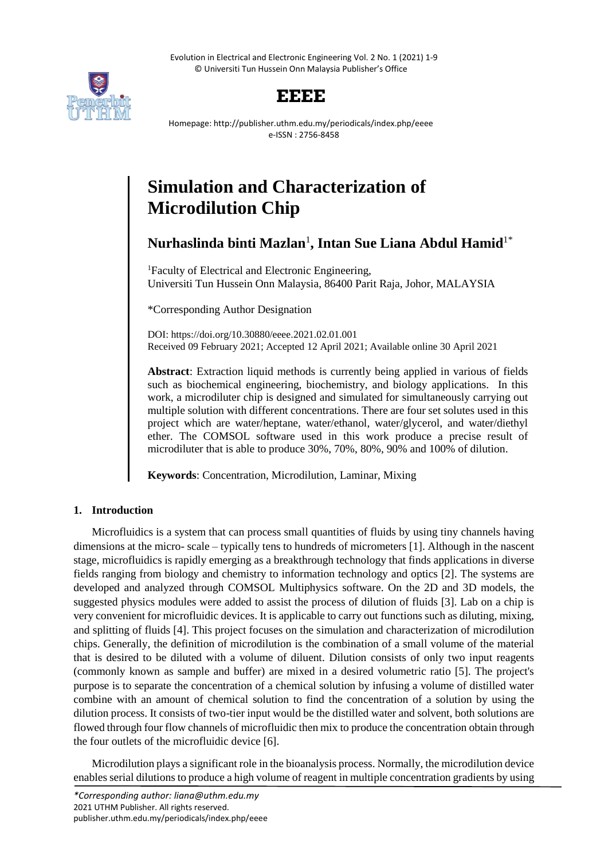Evolution in Electrical and Electronic Engineering Vol. 2 No. 1 (2021) 1-9 © Universiti Tun Hussein Onn Malaysia Publisher's Office



## **EEEE**

Homepage: http://publisher.uthm.edu.my/periodicals/index.php/eeee e-ISSN : 2756-8458

# **Simulation and Characterization of Microdilution Chip**

### **Nurhaslinda binti Mazlan**<sup>1</sup> **, Intan Sue Liana Abdul Hamid**1\*

<sup>1</sup>Faculty of Electrical and Electronic Engineering, Universiti Tun Hussein Onn Malaysia, 86400 Parit Raja, Johor, MALAYSIA

\*Corresponding Author Designation

DOI: https://doi.org/10.30880/eeee.2021.02.01.001 Received 09 February 2021; Accepted 12 April 2021; Available online 30 April 2021

**Abstract**: Extraction liquid methods is currently being applied in various of fields such as biochemical engineering, biochemistry, and biology applications. In this work, a microdiluter chip is designed and simulated for simultaneously carrying out multiple solution with different concentrations. There are four set solutes used in this project which are water/heptane, water/ethanol, water/glycerol, and water/diethyl ether. The COMSOL software used in this work produce a precise result of microdiluter that is able to produce 30%, 70%, 80%, 90% and 100% of dilution.

**Keywords**: Concentration, Microdilution, Laminar, Mixing

#### **1. Introduction**

Microfluidics is a system that can process small quantities of fluids by using tiny channels having dimensions at the micro- scale – typically tens to hundreds of micrometers [1]. Although in the nascent stage, microfluidics is rapidly emerging as a breakthrough technology that finds applications in diverse fields ranging from biology and chemistry to information technology and optics [2]. The systems are developed and analyzed through COMSOL Multiphysics software. On the 2D and 3D models, the suggested physics modules were added to assist the process of dilution of fluids [3]. Lab on a chip is very convenient for microfluidic devices. It is applicable to carry out functions such as diluting, mixing, and splitting of fluids [4]. This project focuses on the simulation and characterization of microdilution chips. Generally, the definition of microdilution is the combination of a small volume of the material that is desired to be diluted with a volume of diluent. Dilution consists of only two input reagents (commonly known as sample and buffer) are mixed in a desired volumetric ratio [5]. The project's purpose is to separate the concentration of a chemical solution by infusing a volume of distilled water combine with an amount of chemical solution to find the concentration of a solution by using the dilution process. It consists of two-tier input would be the distilled water and solvent, both solutions are flowed through four flow channels of microfluidic then mix to produce the concentration obtain through the four outlets of the microfluidic device [6].

Microdilution plays a significant role in the bioanalysis process. Normally, the microdilution device enables serial dilutions to produce a high volume of reagent in multiple concentration gradients by using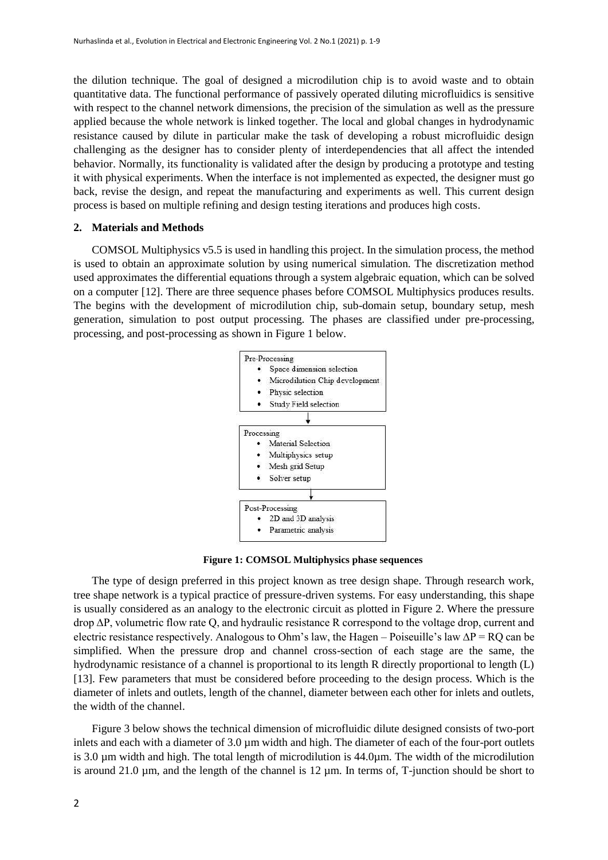the dilution technique. The goal of designed a microdilution chip is to avoid waste and to obtain quantitative data. The functional performance of passively operated diluting microfluidics is sensitive with respect to the channel network dimensions, the precision of the simulation as well as the pressure applied because the whole network is linked together. The local and global changes in hydrodynamic resistance caused by dilute in particular make the task of developing a robust microfluidic design challenging as the designer has to consider plenty of interdependencies that all affect the intended behavior. Normally, its functionality is validated after the design by producing a prototype and testing it with physical experiments. When the interface is not implemented as expected, the designer must go back, revise the design, and repeat the manufacturing and experiments as well. This current design process is based on multiple refining and design testing iterations and produces high costs.

#### **2. Materials and Methods**

COMSOL Multiphysics v5.5 is used in handling this project. In the simulation process, the method is used to obtain an approximate solution by using numerical simulation. The discretization method used approximates the differential equations through a system algebraic equation, which can be solved on a computer [12]. There are three sequence phases before COMSOL Multiphysics produces results. The begins with the development of microdilution chip, sub-domain setup, boundary setup, mesh generation, simulation to post output processing. The phases are classified under pre-processing, processing, and post-processing as shown in Figure 1 below.



**Figure 1: COMSOL Multiphysics phase sequences**

The type of design preferred in this project known as tree design shape. Through research work, tree shape network is a typical practice of pressure-driven systems. For easy understanding, this shape is usually considered as an analogy to the electronic circuit as plotted in Figure 2. Where the pressure drop ∆P, volumetric flow rate Q, and hydraulic resistance R correspond to the voltage drop, current and electric resistance respectively. Analogous to Ohm's law, the Hagen – Poiseuille's law  $\Delta P = RQ$  can be simplified. When the pressure drop and channel cross-section of each stage are the same, the hydrodynamic resistance of a channel is proportional to its length R directly proportional to length (L) [13]. Few parameters that must be considered before proceeding to the design process. Which is the diameter of inlets and outlets, length of the channel, diameter between each other for inlets and outlets, the width of the channel.

Figure 3 below shows the technical dimension of microfluidic dilute designed consists of two-port inlets and each with a diameter of 3.0 µm width and high. The diameter of each of the four-port outlets is 3.0 µm width and high. The total length of microdilution is 44.0µm. The width of the microdilution is around 21.0  $\mu$ m, and the length of the channel is 12  $\mu$ m. In terms of, T-junction should be short to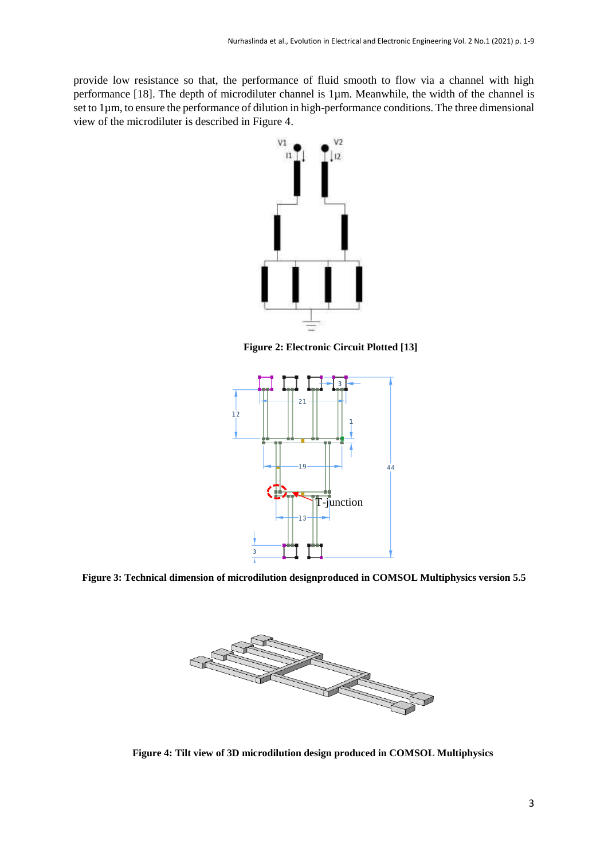provide low resistance so that, the performance of fluid smooth to flow via a channel with high performance [18]. The depth of microdiluter channel is 1µm. Meanwhile, the width of the channel is set to 1µm, to ensure the performance of dilution in high-performance conditions. The three dimensional view of the microdiluter is described in Figure 4.



**Figure 2: Electronic Circuit Plotted [13]**



**Figure 3: Technical dimension of microdilution designproduced in COMSOL Multiphysics version 5.5**



**Figure 4: Tilt view of 3D microdilution design produced in COMSOL Multiphysics**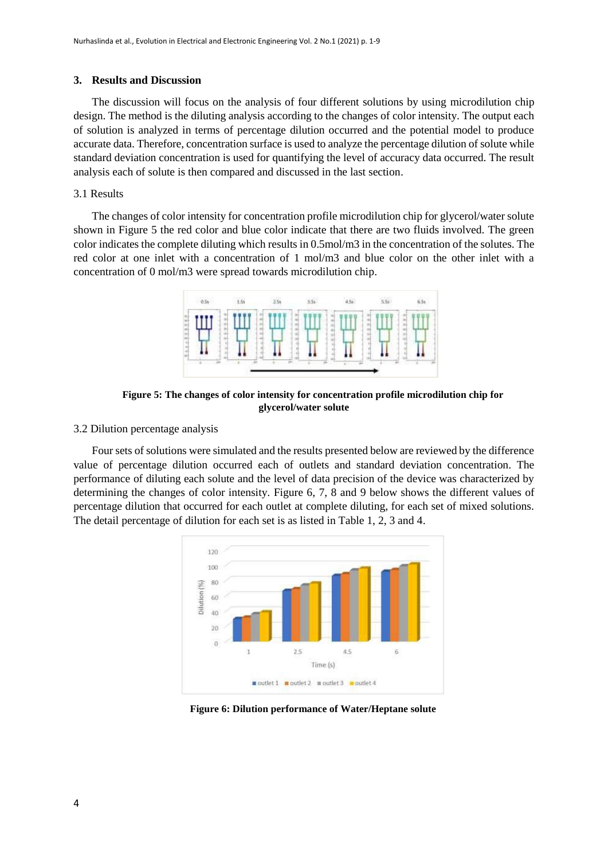#### **3. Results and Discussion**

The discussion will focus on the analysis of four different solutions by using microdilution chip design. The method is the diluting analysis according to the changes of color intensity. The output each of solution is analyzed in terms of percentage dilution occurred and the potential model to produce accurate data. Therefore, concentration surface is used to analyze the percentage dilution of solute while standard deviation concentration is used for quantifying the level of accuracy data occurred. The result analysis each of solute is then compared and discussed in the last section.

#### 3.1 Results

The changes of color intensity for concentration profile microdilution chip for glycerol/water solute shown in Figure 5 the red color and blue color indicate that there are two fluids involved. The green color indicates the complete diluting which results in 0.5mol/m3 in the concentration of the solutes. The red color at one inlet with a concentration of 1 mol/m3 and blue color on the other inlet with a concentration of 0 mol/m3 were spread towards microdilution chip.



**Figure 5: The changes of color intensity for concentration profile microdilution chip for glycerol/water solute**

#### 3.2 Dilution percentage analysis

Four sets of solutions were simulated and the results presented below are reviewed by the difference value of percentage dilution occurred each of outlets and standard deviation concentration. The performance of diluting each solute and the level of data precision of the device was characterized by determining the changes of color intensity. Figure 6, 7, 8 and 9 below shows the different values of percentage dilution that occurred for each outlet at complete diluting, for each set of mixed solutions. The detail percentage of dilution for each set is as listed in Table 1, 2, 3 and 4.



**Figure 6: Dilution performance of Water/Heptane solute**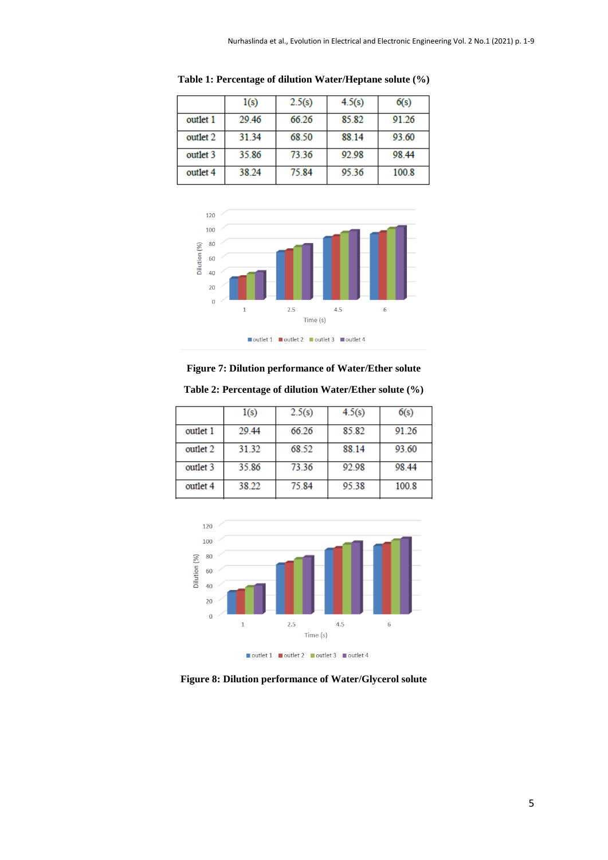|          | 1(s)  | 2.5(s) | 4.5(s) | 6(s)  |
|----------|-------|--------|--------|-------|
| outlet 1 | 29.46 | 66.26  | 85.82  | 91.26 |
| outlet 2 | 31.34 | 68.50  | 88.14  | 93.60 |
| outlet 3 | 35.86 | 73.36  | 92.98  | 98.44 |
| outlet 4 | 38.24 | 75.84  | 95.36  | 100.8 |

**Table 1: Percentage of dilution Water/Heptane solute (%)**



**Figure 7: Dilution performance of Water/Ether solute**

|          | 1(s)  | 2.5(s) | 4.5(s) | 6(s)  |
|----------|-------|--------|--------|-------|
| outlet 1 | 29.44 | 66.26  | 85.82  | 91.26 |
| outlet 2 | 31.32 | 68.52  | 88.14  | 93.60 |
| outlet 3 | 35.86 | 73.36  | 92.98  | 98.44 |
| outlet 4 | 38.22 | 75.84  | 95.38  | 100.8 |

**Table 2: Percentage of dilution Water/Ether solute (%)**



■ outlet 1 ■ outlet 2 ■ outlet 3 ■ outlet 4

**Figure 8: Dilution performance of Water/Glycerol solute**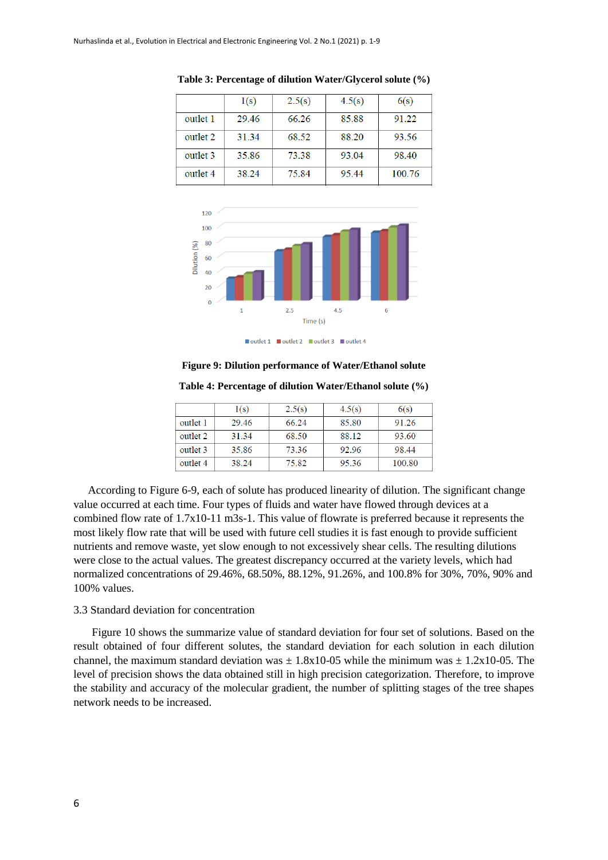|          | 1(s)  | 2.5(s) | 4.5(s) | 6(s)   |
|----------|-------|--------|--------|--------|
| outlet 1 | 29.46 | 66.26  | 85.88  | 91.22  |
| outlet 2 | 31.34 | 68.52  | 88.20  | 93.56  |
| outlet 3 | 35.86 | 73.38  | 93.04  | 98.40  |
| outlet 4 | 38.24 | 75.84  | 95.44  | 100.76 |





■ outlet 1 ■ outlet 2 ■ outlet 3 ■ outlet 4

**Figure 9: Dilution performance of Water/Ethanol solute**

|          | 1(s)  | 2.5(s) | 4.5(s) | 6(s)   |
|----------|-------|--------|--------|--------|
| outlet 1 | 29.46 | 66.24  | 85.80  | 91.26  |
| outlet 2 | 31.34 | 68.50  | 88.12  | 93.60  |
| outlet 3 | 35.86 | 73.36  | 92.96  | 98.44  |
| outlet 4 | 38.24 | 75.82  | 95.36  | 100.80 |

According to Figure 6-9, each of solute has produced linearity of dilution. The significant change value occurred at each time. Four types of fluids and water have flowed through devices at a combined flow rate of 1.7x10-11 m3s-1. This value of flowrate is preferred because it represents the most likely flow rate that will be used with future cell studies it is fast enough to provide sufficient nutrients and remove waste, yet slow enough to not excessively shear cells. The resulting dilutions were close to the actual values. The greatest discrepancy occurred at the variety levels, which had normalized concentrations of 29.46%, 68.50%, 88.12%, 91.26%, and 100.8% for 30%, 70%, 90% and 100% values.

#### 3.3 Standard deviation for concentration

Figure 10 shows the summarize value of standard deviation for four set of solutions. Based on the result obtained of four different solutes, the standard deviation for each solution in each dilution channel, the maximum standard deviation was  $\pm$  1.8x10-05 while the minimum was  $\pm$  1.2x10-05. The level of precision shows the data obtained still in high precision categorization. Therefore, to improve the stability and accuracy of the molecular gradient, the number of splitting stages of the tree shapes network needs to be increased.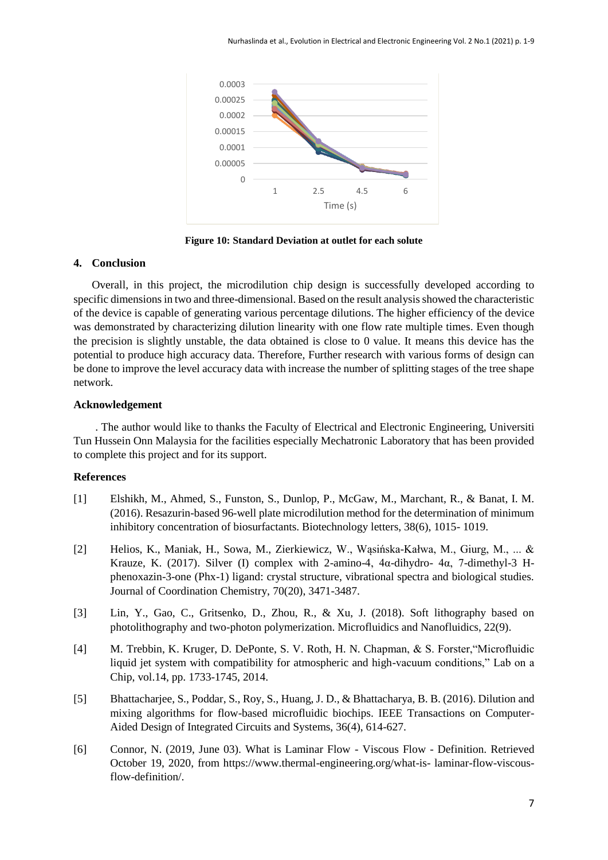

**Figure 10: Standard Deviation at outlet for each solute**

#### **4. Conclusion**

Overall, in this project, the microdilution chip design is successfully developed according to specific dimensions in two and three-dimensional. Based on the result analysis showed the characteristic of the device is capable of generating various percentage dilutions. The higher efficiency of the device was demonstrated by characterizing dilution linearity with one flow rate multiple times. Even though the precision is slightly unstable, the data obtained is close to 0 value. It means this device has the potential to produce high accuracy data. Therefore, Further research with various forms of design can be done to improve the level accuracy data with increase the number of splitting stages of the tree shape network.

#### **Acknowledgement**

. The author would like to thanks the Faculty of Electrical and Electronic Engineering, Universiti Tun Hussein Onn Malaysia for the facilities especially Mechatronic Laboratory that has been provided to complete this project and for its support.

#### **References**

- [1] Elshikh, M., Ahmed, S., Funston, S., Dunlop, P., McGaw, M., Marchant, R., & Banat, I. M. (2016). Resazurin-based 96-well plate microdilution method for the determination of minimum inhibitory concentration of biosurfactants. Biotechnology letters, 38(6), 1015- 1019.
- [2] Helios, K., Maniak, H., Sowa, M., Zierkiewicz, W., Wąsińska-Kałwa, M., Giurg, M., ... & Krauze, K. (2017). Silver (I) complex with 2-amino-4, 4α-dihydro- 4α, 7-dimethyl-3 Hphenoxazin-3-one (Phx-1) ligand: crystal structure, vibrational spectra and biological studies. Journal of Coordination Chemistry, 70(20), 3471-3487.
- [3] Lin, Y., Gao, C., Gritsenko, D., Zhou, R., & Xu, J. (2018). Soft lithography based on photolithography and two-photon polymerization. Microfluidics and Nanofluidics, 22(9).
- [4] M. Trebbin, K. Kruger, D. DePonte, S. V. Roth, H. N. Chapman, & S. Forster,"Microfluidic liquid jet system with compatibility for atmospheric and high-vacuum conditions," Lab on a Chip, vol.14, pp. 1733-1745, 2014.
- [5] Bhattacharjee, S., Poddar, S., Roy, S., Huang, J. D., & Bhattacharya, B. B. (2016). Dilution and mixing algorithms for flow-based microfluidic biochips. IEEE Transactions on Computer-Aided Design of Integrated Circuits and Systems, 36(4), 614-627.
- [6] Connor, N. (2019, June 03). What is Laminar Flow Viscous Flow Definition. Retrieved October 19, 2020, from https://www.thermal-engineering.org/what-is- laminar-flow-viscousflow-definition/.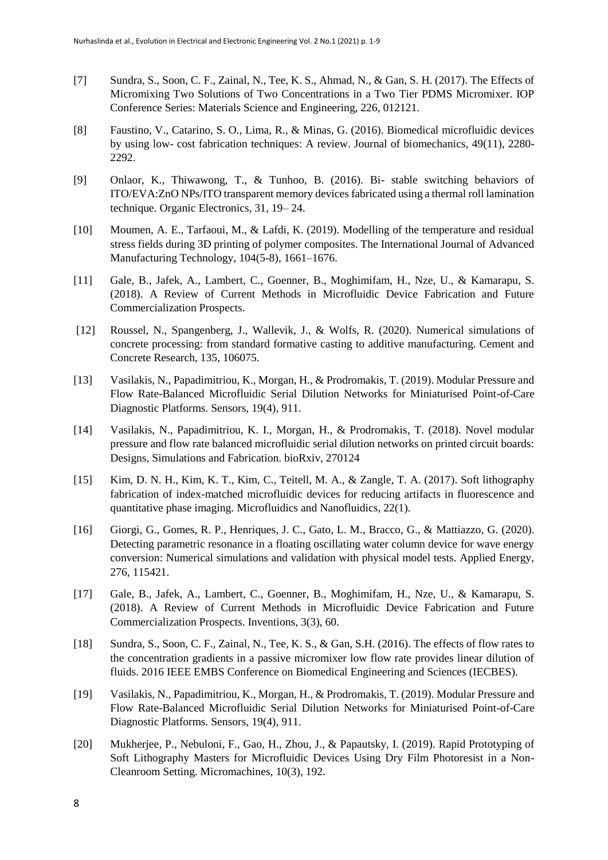- [7] Sundra, S., Soon, C. F., Zainal, N., Tee, K. S., Ahmad, N., & Gan, S. H. (2017). The Effects of Micromixing Two Solutions of Two Concentrations in a Two Tier PDMS Micromixer. IOP Conference Series: Materials Science and Engineering, 226, 012121.
- [8] Faustino, V., Catarino, S. O., Lima, R., & Minas, G. (2016). Biomedical microfluidic devices by using low- cost fabrication techniques: A review. Journal of biomechanics, 49(11), 2280- 2292.
- [9] Onlaor, K., Thiwawong, T., & Tunhoo, B. (2016). Bi- stable switching behaviors of ITO/EVA:ZnO NPs/ITO transparent memory devices fabricated using a thermal roll lamination technique. Organic Electronics, 31, 19– 24.
- [10] Moumen, A. E., Tarfaoui, M., & Lafdi, K. (2019). Modelling of the temperature and residual stress fields during 3D printing of polymer composites. The International Journal of Advanced Manufacturing Technology, 104(5-8), 1661–1676.
- [11] Gale, B., Jafek, A., Lambert, C., Goenner, B., Moghimifam, H., Nze, U., & Kamarapu, S. (2018). A Review of Current Methods in Microfluidic Device Fabrication and Future Commercialization Prospects.
- [12] Roussel, N., Spangenberg, J., Wallevik, J., & Wolfs, R. (2020). Numerical simulations of concrete processing: from standard formative casting to additive manufacturing. Cement and Concrete Research, 135, 106075.
- [13] Vasilakis, N., Papadimitriou, K., Morgan, H., & Prodromakis, T. (2019). Modular Pressure and Flow Rate-Balanced Microfluidic Serial Dilution Networks for Miniaturised Point-of-Care Diagnostic Platforms. Sensors, 19(4), 911.
- [14] Vasilakis, N., Papadimitriou, K. I., Morgan, H., & Prodromakis, T. (2018). Novel modular pressure and flow rate balanced microfluidic serial dilution networks on printed circuit boards: Designs, Simulations and Fabrication. bioRxiv, 270124
- [15] Kim, D. N. H., Kim, K. T., Kim, C., Teitell, M. A., & Zangle, T. A. (2017). Soft lithography fabrication of index-matched microfluidic devices for reducing artifacts in fluorescence and quantitative phase imaging. Microfluidics and Nanofluidics, 22(1).
- [16] Giorgi, G., Gomes, R. P., Henriques, J. C., Gato, L. M., Bracco, G., & Mattiazzo, G. (2020). Detecting parametric resonance in a floating oscillating water column device for wave energy conversion: Numerical simulations and validation with physical model tests. Applied Energy, 276, 115421.
- [17] Gale, B., Jafek, A., Lambert, C., Goenner, B., Moghimifam, H., Nze, U., & Kamarapu, S. (2018). A Review of Current Methods in Microfluidic Device Fabrication and Future Commercialization Prospects. Inventions, 3(3), 60.
- [18] Sundra, S., Soon, C. F., Zainal, N., Tee, K. S., & Gan, S.H. (2016). The effects of flow rates to the concentration gradients in a passive micromixer low flow rate provides linear dilution of fluids. 2016 IEEE EMBS Conference on Biomedical Engineering and Sciences (IECBES).
- [19] Vasilakis, N., Papadimitriou, K., Morgan, H., & Prodromakis, T. (2019). Modular Pressure and Flow Rate-Balanced Microfluidic Serial Dilution Networks for Miniaturised Point-of-Care Diagnostic Platforms. Sensors, 19(4), 911.
- [20] Mukherjee, P., Nebuloni, F., Gao, H., Zhou, J., & Papautsky, I. (2019). Rapid Prototyping of Soft Lithography Masters for Microfluidic Devices Using Dry Film Photoresist in a Non-Cleanroom Setting. Micromachines, 10(3), 192.